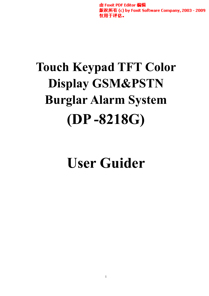由 Foxit PDF Editor 编辑 版权所有 (c) by Foxit Software Company, 2003 - 2009 仅用于评估。

# **Touch Keypad TFT Color Display GSM&PSTN Burglar Alarm System -8218G) (DP**

**User Guider**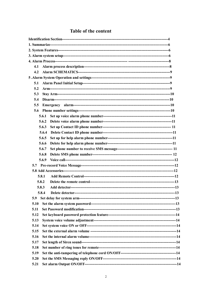| 4.1   |  |
|-------|--|
| 4.2   |  |
|       |  |
| 5.1   |  |
| 5.2   |  |
| 5.3   |  |
| 5.4   |  |
| 5.5   |  |
| 5.6   |  |
| 5.6.1 |  |
| 5.6.2 |  |
| 5.6.3 |  |
| 5.6.4 |  |
| 5.6.5 |  |
| 5.6.6 |  |
| 5.6.7 |  |
| 5.6.8 |  |
| 5.6.9 |  |
|       |  |
|       |  |
| 5.8.1 |  |
| 5.8.2 |  |
| 5.8.3 |  |
| 5.8.4 |  |
| 5.9   |  |
| 5.10  |  |
| 5.11  |  |
| 5.12  |  |
| 5.13  |  |
| 5.14  |  |
| 5.15  |  |
| 5.16  |  |
| 5.17  |  |
| 5.18  |  |
| 5.19  |  |
| 5.20  |  |
| 5.21  |  |

# Table of the content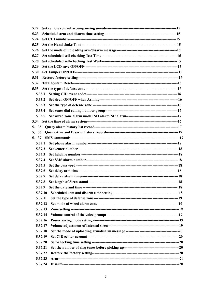| 5.22   |         |  |  |  |
|--------|---------|--|--|--|
| 5.23   |         |  |  |  |
| 5.24   |         |  |  |  |
| 5.25   |         |  |  |  |
| 5.26   |         |  |  |  |
| 5.27   |         |  |  |  |
| 5.28   |         |  |  |  |
| 5.29   |         |  |  |  |
| 5.30   |         |  |  |  |
| 5.31   |         |  |  |  |
| 5.32   |         |  |  |  |
| 5.33   |         |  |  |  |
| 5.33.1 |         |  |  |  |
| 5.33.2 |         |  |  |  |
| 5.33.3 |         |  |  |  |
| 5.33.4 |         |  |  |  |
| 5.33.5 |         |  |  |  |
| 5.34   |         |  |  |  |
| 5. 35  |         |  |  |  |
| 5. 36  |         |  |  |  |
| 5. 37  |         |  |  |  |
| 5.37.1 |         |  |  |  |
| 5.37.2 |         |  |  |  |
| 5.37.3 |         |  |  |  |
| 5.37.4 |         |  |  |  |
| 5.37.5 |         |  |  |  |
| 5.37.6 |         |  |  |  |
| 5.37.7 |         |  |  |  |
| 5.37.8 |         |  |  |  |
| 5.37.9 |         |  |  |  |
|        | 5.37.10 |  |  |  |
|        | 5.37.11 |  |  |  |
|        | 5.37.12 |  |  |  |
|        | 5.37.13 |  |  |  |
|        | 5.37.14 |  |  |  |
|        | 5.37.16 |  |  |  |
|        | 5.37.17 |  |  |  |
|        | 5.37.18 |  |  |  |
|        | 5.37.19 |  |  |  |
|        | 5.37.20 |  |  |  |
|        | 5.37.21 |  |  |  |
|        | 5.37.22 |  |  |  |
|        | 5.37.23 |  |  |  |
|        | 5.37.24 |  |  |  |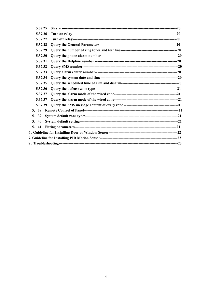| 5.37.25 |  |
|---------|--|
| 5.37.26 |  |
| 5.37.27 |  |
| 5.37.28 |  |
| 5.37.29 |  |
| 5.37.30 |  |
| 5.37.31 |  |
| 5.37.32 |  |
| 5.37.33 |  |
| 5.37.34 |  |
| 5.37.35 |  |
| 5.37.36 |  |
| 5.37.37 |  |
| 5.37.37 |  |
| 5.37.39 |  |
| 5. 38   |  |
| 5. 39   |  |
| 5.40    |  |
| 5. 41   |  |
|         |  |
|         |  |
|         |  |
|         |  |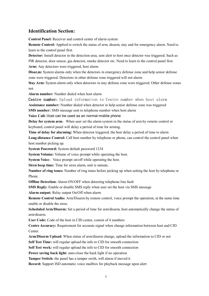# **Identification Section:**

**Control Panel:** Receiver and control center of alarm system

**Remote Control:** Applied to switch the status of arm, disarm, stay and for emergency alarm. Need to learn to the control panel first.

**Detector:** Install detector in the detection area, sent alert to host once detector was triggered. Such as PIR detector, door sensor, gas detector, smoke detector etc. Need to learn to the control panel first. **Arm:** Any detectors were triggered, host alarm.

**Disar, m:** System alarms only when the detectors in emergency defense zone and help senior defense zone were triggered. Detectors in other defense zone triggered will not alarm.

**Stay Arm:** System alarm only when detectors in stay defense zone were triggered. Other defense zones not.

**Alarm number:** Number dialed when host alarm

**Centre number:** Upload information to Centre number when host alarm **Assistance number:** Number dialed when detector in help senior defense zone was triggered **SMS number:** SMS message sent to telephone number when host alarm **Voice Call:** Host can be used as an normal mobile phone

**Delay for system arm:** When user set the alarm system in the status of arm by remote control or

keyboard, control panel will delay a period of time for arming.

**Time of delay for alarming:** When detector triggered, the host delay a period of time to alarm **Long-distance Control:** Call host number by telephone or phone, can control the control panel when host number picking up.

**System Password:** System default password 1234

**System Volume:** Volume of voice prompt while operating the host.

**System Voice:** Voice prompt on/off while operating the host.

**Siren beep time:** Time for siren alarm, unit is minute**.**

**Number of ring tones:** Number of ring tones before picking up when setting the host by telephone or Phone.

**Offline Detection:** Alarm ON/OFF when detecting telephone line fault

**SMS Reply:** Enable or disable SMS reply when user set the host via SMS message

**Alarm output:** Relay output On/Off when alarm

**Remote Control Audio:** Arm/Disarm by remote control, voice prompt the operation, at the same time enable or disable the siren.

**Scheduled Arm/Disarm:** Set a period of time for arm/disarm, host automatically change the status of arm/disarm.

**User Code:** Code of the host in CID center, consist of 4 numbers

**Centre Accuracy:** Requirement for accurate signal when change information between host and CID **Center**.

**Arm/Disarm Upload:** When status of arm/disarm change, upload the information to CID or not

**Self Test Time:** will regular upload the info to CID for smooth connection

**Self Test week:** will regular upload the info to CID for smooth connection

**Power saving back light:** auto-close the back light if no operation

**Tamper Switch:** the panel has a tamper swith, will alarm if moved it

**Record:** Support ISD automatic voice mailbox for playback message upon alert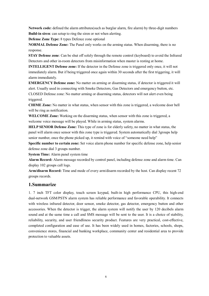**Network code:** defined the alarm attributes(such as burglar alarm, fire alarm) by three-digit numbers **Build-in siren**: can setup to ring the siren or not when alerting.

**Defense Zone Type:** 8 types Defence zone optional

**NORMAL Defense Zone:** The Panel only works on the arming status. When disarming, there is no response.

**STAY Defense zone**: Can be shut off solely through the remote control (keyboard) to avoid the Infrared Detectors and other in-room detectors from misinformation when master is resting at home.

**INTELLIGENT Defense zone:** If the detector in the Defense zone is triggered only once, it will not immediately alarm. But if being triggered once again within 30 seconds after the first triggering, it will alarm immediately.

**EMERGENCY Defense zone:** No matter on arming or disarming status, if detector is triggered it will alert. Usually used in connecting with Smoke Detectors, Gas Detectors and emergency button, etc. CLOSED Defense zone: No matter arming or disarming status, detectors will not alert even being triggered.

**CHIME Zone:** No matter in what status, when sensor with this zone is triggered, a welcome door bell will be ring as notification.

**WELCOME Zone:** Working on the disarming status, when sensor with this zone is triggered, a welcome voice message will be played. While in arming status, system alarms.

**HELP SENIOR Defense Zone:** This type of zone is for elderly safety, no matter in what status, the panel will alarm once sensor with this zone type is triggered. System automatically dial 3groups help senior number, once the phone picked up, it remind with voice of "someone need help"

**Specific number to certain zone:** Set voice alarm phone number for specific defense zone, help senior defense zone dial 3 groups number.

**System Time:** Alarm panel system time

**Alarm Record:** Alarm message recorded by control panel, including defense zone and alarm time. Can display 102 groups call logs.

**Arm/disarm Record:** Time and mode of every arm/disarm recorded by the host. Can display recent 72 groups records.

# **1.Summarize**

1. 7 inch TFT color display, touch screen keypad, built-in high performance CPU, this high-end dual-network GSM/PSTN alarm system has reliable performance and favorable operability. It connects with wireless infrared detector, door sensor, smoke detector, gas detector, emergency button and other accessories. When the detector is trigger, the alarm system will notify the user by 120 decibels alarm sound and at the same time a call and SMS message will be sent to the user. It is a choice of stability, reliability, security, and user friendliness security product. Features are very practical, cost-effective, completed configuration and ease of use. It has been widely used in homes, factories, schools, shops, convenience stores, financial and banking workplace, community center and residential area to provide protection to valuable assets.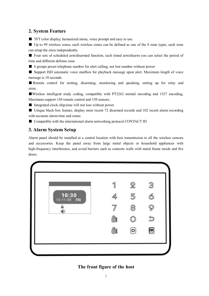# **2. System Feature**

■ TFT color display, humanized menu, voice prompt and easy to use.

■ Up to 99 wireless zones, each wireless zones can be defined as one of the 8 zone types, each zone can setup the siren independently.

■ Four sets of scheduled arm/disarmed function, each timed arm/disarm you can select the period of time and different defense zone

■ 6 groups preset telephone number for alert calling; not lost number without power

■ Support ISD automatic voice mailbox for playback message upon alert. Maximum length of voice message is 10 seconds.

■ Remote control for arming, disarming, monitoring and speaking, setting up for relay and siren.

■Wireless intelligent study coding, compatible with PT2262 normal encoding and 1527 encoding, Maximum support 150 remote control and 150 sensors.

■ Integrated clock chip, time will not lose without power

■ Unique black box feature, display most recent 72 disarmed records and 102 recent alarm recording with accurate alarm time and zones.

■ Compatible with the international alarm networking protocol CONTACT ID

# **3. Alarm System Setup**

Alarm panel should be installed at a central location with best transmission to all the wireless sensors and accessories. Keep the panel away from large metal objects or household appliances with high-frequency interference, and avoid barriers such as concrete walls with metal frame inside and fire doors.



# **The front figure of the host**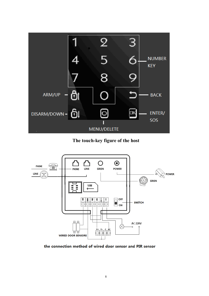

**The touch-key figure of the host**



the connection method of wired door sensor and PIR sensor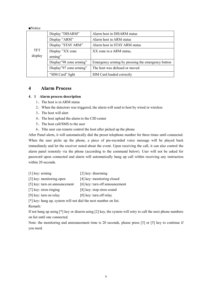| $\blacksquare$ Notice |                         |                                                   |  |
|-----------------------|-------------------------|---------------------------------------------------|--|
|                       | Display "DISARM"        | Alarm host in DISARM status                       |  |
|                       | Display "ARM"           | Alarm host in ARM status                          |  |
|                       | Display "STAY ARM"      | Alarm host in STAY ARM status                     |  |
| <b>TFT</b>            | Display "XX zone        | XX zone in a ARM status,                          |  |
| display               | arming"                 |                                                   |  |
|                       | Display"98 zone arming" | Emergency arming by pressing the emergency button |  |
|                       | Display"97 zone arming" | The host was defused or moved                     |  |
|                       | "SIM Card" light        | SIM Card loaded correctly                         |  |

# **4 Alarm Process**

#### **4.1 Alarm process description**

- 1、The host is in ARM status
- 2、When the detectors was triggered, the alarm will send to host by wired or wireless
- 3、The host will alert
- 4、The host upload the alarm to the CID center
- 5、The host call/SMS to the user
- 6、Tthe user can remote control the host after picked up the phone

After Panel alerts, it will automatically dial the preset telephone number for three times until connected. When the user picks up the phone, a piece of pre-recorded voice message will be played back immediately and let the receiver noted about the event. Upon receiving the call, it can also control the alarm panel remotely via the phone (according to the command below). User will not be asked for password upon connected and alarm will automatically hang up call within receiving any instruction within 20 seconds.

- [1] key: arming [2] key: disarming
- [3] key: monitoring open [4] key: monitoring closed
- [5] key: turn on announcement [6] key: turn off announcement
- [7] key: siren ringing [8] key: stop siren sound
- [9] key: turn on relay [0] key: turn off relay

[\*] key: hang up, system will not dial the next number on list.

Remark:

If not hang up using [\*] key or disarm using [2] key, the system will retry to call the next phone numbers on list until one connected.

Note: the monitoring and announcement time is 20 seconds, please press [3] or [5] key to continue if you need.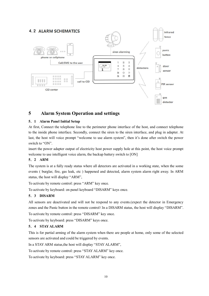# **4.2 ALARM SCHEMATICS**



# **5 Alarm System Operation and settings**

# **5.1 Alarm Panel Initial Setup**

At first, Connect the telephone line to the perimeter phone interface of the host, and connect telephone to the inside phone interface. Secondly, connect the siren to the siren interface, and plug in adapter. At last, the host will voice prompt "welcome to use alarm system", then it's done after switch the power switch to "ON".

insert the power adapter output of electricity host power supply hole at this point, the host voice prompt welcome to use intelligent voice alarm, the backup battery switch to [ON]

# **5.2 ARM**

The system is at a fully ready status where all detectors are activated in a working state, when the some events ( burglar, fire, gas leak, etc ) happened and detected, alarm system alarm right away. In ARM status, the host will display "ARM",

To activate by remote control: press "ARM" key once.

To activate by keyboard: on panel keyboard "DISARM" keys once.

# **5.3 DISARM**

All sensors are deactivated and will not be respond to any events.(expect the detector in Emergency zones and the Panic button in the remote control (In a DISARM status, the host will display "DISARM".

To activate by remote control: press "DISARM" key once.

To activate by keyboard: press "DISARM" keys once.

# **5.4 STAY ALARM**

This is for partial arming of the alarm system when there are people at home, only some of the selected sensors are activated and could be triggered by events.

In a STAY ARM status,the host will display "STAY ALARM",

To activate by remote control: press "STAY ALARM" key once.

To activate by keyboard: press "STAY ALARM" key once.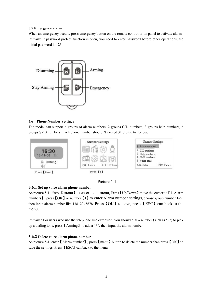### **5.5 Emergency alarm**

When an emergency occurs, press emergency button on the remote control or on panel to activate alarm. Remark: If password protect function is open, you need to enter password before other operations, the initial password is 1234.



# **5.6 Phone Number Settings**

The model can support 6 groups of alarm numbers, 2 groups CID numbers, 3 groups help numbers, 6 groups SMS numbers. Each phone number shouldn't exceed 31 digits. As follow:



Picture 5-1

# **5.6.1 Set up voice alarm phone number**

As picture 5-1, Press  $\blacksquare$  menu  $\blacksquare$  to enter main menu, Press  $\blacksquare$  Up/Down  $\blacksquare$  move the cursor to  $\blacksquare$  1. Alarm numbers】, press【OK】or number【1】to enter Alarm number settings, choose group number 1-6, then input alarm number like 13812345678. Press【OK】to save, press【ESC】can back to the menu.

Remark : For users who use the telephone line extension, you should dial a number (such as "9") to pick up a dialing tone, press【Arming】to add a "\*", then input the alarm number.

# **5.6.2 Delete voice alarm phone number**

As picture 5-1, enter【Alarm number】, press【menu】button to delete the number than press【OK】to save the settings. Press **[ESC]** can back to the menu.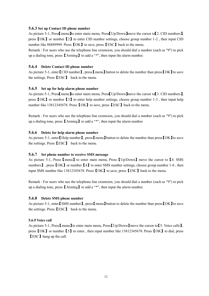#### **5.6.3 Set up Contact ID phone number**

As picture 5-1, Press menu lto enter main menu, Press Up/Down move the cursor to [2. CID numbers], press【OK】or number【2】to enter CID number settings, choose group number 1-2 , then input CID number like 88889999. Press **[OK]** to save, press **[ESC]** back to the menu.

Remark : For users who use the telephone line extension, you should dial a number (such as "9") to pick up a dialing tone, press【Arming】to add a "\*", then input the alarm number.

#### **5.6.4 Delete Contact ID phone number**

As picture 5-1, enter【CID number】, press【menu】button to delete the number than press【OK】to save the settings. Press【ESC】 back to the menu.

#### **5.6.5 Set up for help alarm phone number**

As picture 5-1, PressI menu Ito enter main menu, PressI Up/Down Imove the cursor to [3. CID numbers ]. press  $[OK]$  or number  $[3]$  to enter help number settings, choose group number 1-3, then input help number like 13812345678. Press **[OK]** to save, press **[ESC]** back to the menu.

Remark : For users who use the telephone line extension, you should dial a number (such as "9") to pick up a dialing tone, press【Arming】to add a "\*", then input the alarm number.

#### **5.6.6 Delete for help alarm phone number**

As picture 5-1, enter [Help number], press [menu] button to delete the number than press [OK] to save the settings. Press【ESC】 back to the menu.

#### **5.6.7 Set phone number to receive SMS message**

As picture 5-1, Press【menu】to enter main menu, Press【Up/Down】move the cursor to【4. SMS numbers **J**, press **[OK ]** or number **[4]** to enter SMS number settings, choose group number 1-6, then input SMS number like 13812345678. Press【OK】to save, press【ESC】back to the menu.

Remark : For users who use the telephone line extension, you should dial a number (such as "9") to pick up a dialing tone, press【Arming】to add a "\*", then input the alarm number.

#### **5.6.8 Delete SMS phone number**

As picture 5-1, enter [SMS number], press [menu] button to delete the number than press [OK] to save the settings. Press【ESC】 back to the menu.

#### **5.6.9 Voice call**

As picture 5-1, Press [menu ] to enter main menu, Press [Up/Down ] move the cursor to [5. Voice calls], press【OK】or number【5】to enter , then input number like 13812345678. Press【OK】to dial, press 【ESC】hang up the call.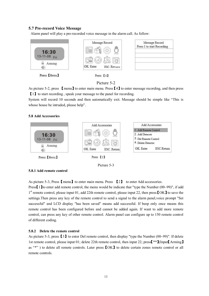## **5.7 Pre-record Voice Message**

Alarm panel will play a pre-recorded voice message in the alarm call. As follow:



Press [Menu]



# Picture 5-2

As picture 5-2, press 【menu】to enter main menu. Press【4】to enter message recording, and then press 【1】to start recording , speak your message to the panel for recording.

System will record 10 seconds and then automatically exit. Massage should be simple like "This is whose house be intruded, please help".

#### **5.8 Add Accessories**





#### **5.8.1 Add remote control**

As picture 5-3, Press  $[\text{ menu}]$  to enter main menu. Press  $[2]$  to enter Add accessories.

Press【1】to enter add remote control, the menu would be indicate that "type the Number (00~99)", if add 1<sup>st</sup> remote control, please input 01, add 22th remote control, please input 22, then press **[OK**] to save the settings.Then press any key of the remote control to send a signal to the alarm panel,voice prompt "Set successful" and LCD display "has been saved" means add successful. If beep only once means this remote control has been configured before and cannot be added again. If want to add more remote control, can press any key of other remote control. Alarm panel can configure up to 150 remote control of different coding.

#### **5.8.2 Delete the remote control**

As picture 5-3, press【3】to enter Del remote control, then display "type the Number (00~99)". If delete 1st remote control, please input 01; delete 22th remote control, then input 22; press【\*\*】(Input【Arming】 as "\*" ) to delete all remote controls. Later press **[OK]** to delete certain zones remote control or all remote controls.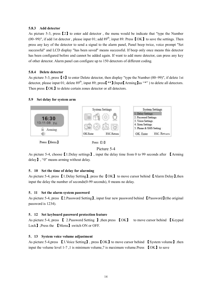#### **5.8.3 Add detector**

As picture 5-3, press【2】to enter add detector , the menu would be indicate that "type the Number (00~99)", if add 1st detector, please input 01; add  $89<sup>th</sup>$ , input 89. Press [OK] to save the settings. Then press any key of the detector to send a signal to the alarm panel, Panel beep twice, voice prompt "Set successful" and LCD display "has been saved" means successful. If beep only once means this detector has been configured before and cannot be added again. If want to add more detector, can press any key of other detector. Alarm panel can configure up to 150 detectors of different coding.

#### **5.8.4 Delete detector**

As picture 5-3, press  $[4]$  to enter Delete detector, then display "type the Number (00~99)", if delete 1st detector, please input 01; delete 89<sup>th</sup>, input 89; press<sup>[\*\*</sup>](Input[Arming]as "\*") to delete all detectors. Then press  $\text{IOK}$  to delete certain zones detector or all detectors.

#### **5.9 Set delay for system arm**





As picture 5-4, choose【1.Delay settings】, input the delay time from 0 to 99 seconds after 【Arming delay】, "0" means arming without delay.

#### **5.10 Set the time of delay for alarming**

As picture 5-4, press 【1.Delay Setting】, press the 【OK】 to move cursor behind 【Alarm Delay】,then input the delay the number of seconds(0-99 seconds), 0 means no delay.

#### **5.11 Set the alarm system password**

As picture 5-4, press 【2.Password Setting】, input four new password behind 【Password】(the original password is 1234).

#### **5.12 Set keyboard password protection feature**

As picture 5-4, press 【 2.Password Setting 】,then press 【OK】 to move cursor behind 【Keypad Lock】,Press the 【Menu】switch ON or OFF.

#### **5.13 System voice volume adjustment**

As picture 5-4,press 【3.Voice Setting】, press【OK】to move cursor behind 【System volume】.then input the volume level 1-7, 1 is minimum volume, 7 is maximum volume. Press  $\Box$  OK  $\Box$  to save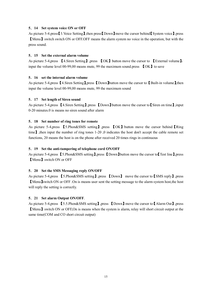#### **5.14 Set system voice ON or OFF**

As picture 5-4.press【3.Voice Setting】,then press【Down】move the cursor behind【System voice】.press 【Menu】switch switch ON or OFF.OFF means the alarm system no voice in the operation, but with the press sound.

### **5.15 Set the external alarm volume**

As picture 5-4,press 【4.Siren Setting】,press 【OK】button move the cursor to 【External volume】, input the volume level 00-99,00 means mute, 99 the maximum sound.press 【OK】to save

# **5.16 set the internal alarm volume**

As picture 5-4,press 【4.Siren Setting】,press 【Down】button move the cursor to 【Built-in volume】,then input the volume level 00-99,00 means mute, 99 the maximum sound

# **5.17 Set length of Siren sound**

As picture 5-4,press 【4.Siren Setting】,press 【Down】button move the cursor to【Siren on time】,input 0-20 minutes.0 is means no siren sound after alarm

# **5.18 Set number of ring tones for remote**

As picture 5-4,press 【5.Phon&SMS setting】,press 【OK】button move the cursor behind【Ring time】,then input the number of ring tones 1-20 ,0 indicates the host don't accept the cable remote set functions, 20 means the host is on the phone after received 20 times rings in continuous

### **5.19 Set the anti-tampering of telephone cord ON/OFF**

As picture 5-4,press 【5.Phon&SMS setting】,press 【Down】button move the cursor to【Test line】,press 【Menu】switch ON or OFF

#### **5.20 Set the SMS Messaging reply ON/OFF**

As picture 5-4,press 【5.Phon&SMS setting】,press 【Down】 move the cursor to【SMS reply】,press 【Menu】switch ON or OFF .On is means user sent the setting message to the alarm system host,the host will reply the setting is correctly.

#### **5.21 Set alarm Output ON/OFF**.

As picture 5-4,press 【5.5.Phon&SMS setting】,press 【Down】move the cursor to【Alarm Out】,press 【Menu】switch ON or OFF,On is means when the system is alarm, relay will short circuit output at the same time(COM and CO short circuit output)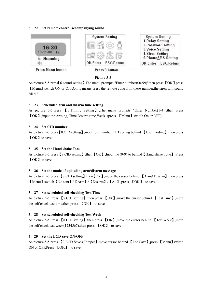#### **5.22 Set remote control accompanying sound**



**Press Menu button** 

Press 3 button

Picture 5-5

As picture 5-5,press【6.sound setting】,The menu prompts "Enter number(00-99)"then press 【OK】,press 【Menu】switch ON or OFF,On is means press the remote control in these number,the siren will sound "di di".

# **5.23 Scheduled arm and disarm time setting**

As picture 5-5.press 【7.Timing Setting】,The menu prompts "Enter Number(1-4)",then press 【OK】,input the Arming, Time,Disarm time,Week. (press 【Menu】switch On or OFF)

# **5.24 Set CID number**

As picture 5-5,press【8.CID setting】,input four number CID coding behind 【User Coding】,then press 【OK】to save.

# **5.25 Set the Hand shake Tone**

As picture 5-5,press【8.CID setting】,then【OK】,Input the (0-9) to behind【Hand shake Tone】,Press 【OK】to save.

#### **5.26 Set the mode of uploading arm/disarm message**

As picture 5-5,press **[8.CID setting]**, then **[OK]**, move the cursor behind **[Arm&Disarm]**, then press 【Menu】switch【No sent】/【Arm】/【Disarm】/【All】,press 【OK】 to save

#### **5.27 Set scheduled self-checking Test Time**

As picture 5-5,Press 【8.CID setting】,then press 【OK】,move the cursor behind 【Test Time】,input the self check test time,then press 【OK】 to save

# **5.28 Set scheduled self-checking Test Week**

As picture 5-5,Press 【8.CID setting】,then press 【OK】,move the cursor behind 【Test Week】,input the self check test week(1234567), then press  $\{OK\}$  to save

# **5.29 Set the LCD save ON/OFF**

As picture 5-5,press 【9.LCD Save&Tamper】,move cursor behind 【Lcd Save】,press 【Menu】switch ON or OFF,Press 【OK】 to save.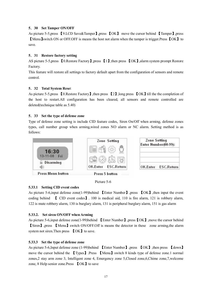# **5.30 Set Tamper ON/OFF**

As picture 5-5,press 【9.LCD Save&Tamper】,press 【OK】 move the cursor behind 【Tamper】,press 【Menu】switch ON or OFF.OFF is means the host not alarm when the tamper is trigger.Press 【OK】 to save.

# **5.31 Restore factory setting**

AS picture 5-5,press 【0.Restore Factory】,press 【1】,then press 【OK】,alarm system prompt Restore Factory.

This feature will restore all settings to factory default apart from the configuration of sensors and remote control.

# **5.32 Total System Rese**t

As picture 5-5,press 【0.Restore Factory】,then press 【2】,long press 【OK】till the the completion of the host to restart.All configuration has been cleared, all sensors and remote controlled are deleted(technique table as 5.40)

# **5.33 Set the type of defense zone**

Type of defense zone setting is include CID feature codes, Siren On/Off when arming, defense zones types, call number group when arming,wired zones NO alarm or NC alarm. Setting method is as follows:





# **5.33.1 Setting CID event codes**

As picture 5-6,input defense zone(1-99)behind 【Enter Number】,press 【OK】,then input the event coding behind 【 CID event codes】. 100 is medical aid, 110 is fire alarm, 121 is robbery alarm, 122 is mute robbery alarm, 130 is burglary alarm, 131 is peripheral burglary alarm, 151 is gas alarm

#### **5.33.2. Set siren ON/OFF when Arming**

As picture 5-6,input defense zone(1-99)behind 【Enter Number】,press【OK】,move the cursor behind 【Siren】,press 【Menu】switch ON/OFF.Off is means the detector in these zone arming,the alarm system not siren. Then press **[OK**] to save.

#### **5.33.3 Set the type of defense zone**

As picture 5-6,Input defense zone (1-99)behind 【Enter Number】,press 【OK】,then press 【down】 move the cursor behind the 【Types】.Press 【Menu】switch 8 kinds type of defense zone.1 normal zones,2 stay arm zone 3, Intelligent zone 4, Emergency zone 5,Closed zone,6,Chime zone,7,welcome zone, 8 Help senior zone.Press 【OK】to save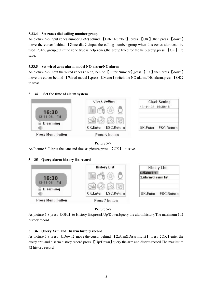#### **5.33.4 Set zones dial calling number group**

As picture 5-6,input zones number(1-99) behind 【Enter Number】,press 【OK】,then press 【down】 move the cursor behind 【Zone dial】,input the calling number group when this zones alarm,can be used123456 group, but if the zone type is help zones, the group fixed for the help group.press  $\Box$  to save.

# **5.33.5 Set wired zone alarm model NO alarm/NC alarm**

As picture 5-6,Input the wired zones (51-52) behind 【Enter Number】,press 【OK】,then press 【down】 move the cursor behind 【Wired model】,press 【Menu】switch the NO alarm / NC alarm.press 【OK】 to save.

# **5.34 Set the time of alarm system**



# Picture 5-7

As Picture 5-7,input the date and time as picture,press 【OK】 to save.

# **5.35 Query alarm history list record**



Picture 5-8

As picture 5-8,press **[OK**] to History list,press **[Up/Down**] query the alarm history. The maximum 102 history record.

# **5.36 Query Arm and Disarm history record**

As picture 5-8,press 【Down】move the cursor behind 【2.Arm&Disarm List】,press【OK】enter the query arm and disarm history record.press 【Up/Down】query the arm and disarm record.The maximum 72 history record.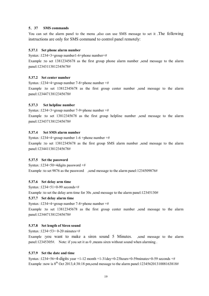## **5.37 SMS commands**

You can set the alarm panel to the menu ,also can use SMS message to set it .The following instructions are only for SMS command to control panel remotely:

#### **5.37.1 Set phone alarm number**

Syntax :1234+3+group number1-6+phone number+#

Example :to set 13812345678 as the first group phone alarm number , send message to the alarm panel:12343113812345678#

#### **5.37.2 Set center number**

Syntax :1234+4+group number 7-8+phone number +# Example :to set 13812345678 as the first group center number ,send message to the alarm

panel:12344713812345678#

#### **5.37.3 Set helpline number**

Syntax :1234+3+group number 7-9+phone number +#

Example :to set 13812345678 as the first group helpline number ,send message to the alarm panel:12343713812345678#

#### **5.37.4 Set SMS alarm number**

Syntax :1234+4+group number 1-6 +phone number +# Example :to set 13812345678 as the first group SMS alarm number ,send message to the alarm panel:12344113812345678#

#### **5.37.5 Set the password**

Syntax :1234+50+4digits password  $+i\frac{1}{2}$ Example :to set 9876 as the password send message to the alarm panel:1234509876#

#### **5.37.6 Set delay arm time**

Syntax :1234+51+0-99 seconds+#

Example :to set the delay arm time for 30s ,send message to the alarm panel:12345130#

#### **5.37.7 Set delay alarm time**

Syntax :1234+4+group number 7-8+phone number +#

Example :to set 13812345678 as the first group center number ,send message to the alarm panel:12344713812345678#

#### **5.37.8 Set length of Siren sound**

Syntax :1234+53+ 0-20 minutes+#

Example :you want to make a siren sound 5 Minutes. ,send message to the alarm panel:12345305#. Note: if you set it as 0 ,means siren without sound when alarming .

## **5.37.9 Set the date and time**

Syntax :1234+56+4-digits year +1-12 month +1-31day+0-23hours+0-59minutes+0-59 seconds +# Example :now is  $8^{th}$  Oct 2013,4:38:18 pm, send message to the alarm panel:12345620131008163818#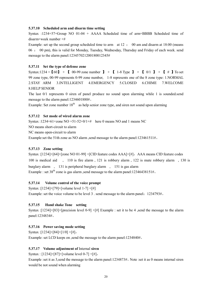#### **5.37.10 Scheduled arm and disarm time setting**

Syntax :1234+57+Group NO 01-04 + AAAA Scheduled time of arm+BBBB Scheduled time of disarm+week number +#

Example: set up the second group scheduled time to arm at 12 : 00 am and disarm at 18:00 (means 06 : 00 pm), this is valid for Monday, Tuesday, Wednesday, Thursday and Friday of each week. send message to the alarm panel:123457021200180012345#

#### **5.37.11 Set the type of defense zone**

Syntax:1234 +  $[60]$  +  $[00-99]$  zone number  $]$  +  $[1-8]$  Type  $]$  +  $[0/1]$  +  $[$  #  $]$  To set 99 zone type, 00-99 represents 0-99 zone number, 1-8 represents one of the 8 zone type: 1.NORMAL 2.STAY ARM 3.INTELLIGENT 4.EMERGENCY 5.CLOSED 6.CHIME 7.WELCOME 8.HELP SENIOR

The last 0/1 represents 0 siren of panel produce no sound upon alarming while 1 is sounded.send message to the alarm panel:1234601880#。

Example: Set zone number  $18<sup>th</sup>$  as help senior zone type, and siren not sound upon alarming

#### **5.37.12 Set mode of wired alarm zone**

Syntax :1234+61+zone  $NO + 51-52+0/1++$  here 0 means NO and 1 means NC

NO means short-circuit to alarm

NC means open-circuit to alarm

Example:set the 51th zone as NO alarm ,send message to the alarm panel:123461511#。

#### **5.37.13 Zone setting**

Syntax :[1234]+[64]+[zone NO 01-99] +[CID feature codes AAA]+[#], AAA means CID feature codes 100 is medical aid , 110 is fire alarm , 121 is robbery alarm , 122 is mute robbery alarm , 130 is burglary alarm , 131 is peripheral burglary alarm , 151 is gas alarm Example : set  $38<sup>th</sup>$  zone is gas alarm ,send message to the alarm panel:12346438151#.

#### **5.37.14 Volume control of the voice prompt**

Syntax :[1234]+[79]+[volume level 1-7] +[#] Example: set the voice volume to be level 3 . send message to the alarm panel:  $1234793\text{\#}$ .

#### **5.37.15 Hand shake Tone setting**

Syntax :[1234]+[83]+[precision level 0-9] +[#] Example : set it to be 4 ,send the message to the alarm panel:1234834#。

#### **5.37.16 Power saving mode setting**

Syntax :[1234]+[84]+[1/0] +[#], Example: set LCD keeps on ,send the message to the alarm panel:1234840#。

#### **5.37.17 Volume adjustment of** Internal **siren**

Syntax : [1234]+[87]+[volume level 0-7] +[#],

Example :set it as 3,send the message to the alarm panel:1234873#。Note :set it as 0 means internal siren would be not sound when alarming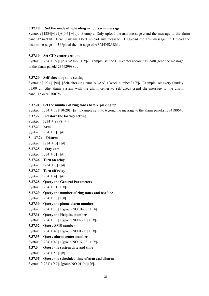#### **5.37.18 Set the mode of uploading arm/disarm message**

Syntax :  $[1234]+[91]+[0-3]+[#]$ , Example: Only upload the arm message ,send the message to the alarm panel:1234911#。Here 0 means Don't upload any message 1 Upload the arm message 2 Upload the disarm message 3 Upload the message of ARM/DISARM。

#### **5.37.19 Set CID center account**

Syntax : $[1234]+[92]+[AAAA-99]+[H]$ , Example: set the CID center account as 9988 ,send the message to the alarm panel:1234929988#。

#### **5.37.20 Self-checking time setting**

Syntax : [1234]+[94]+[Self-checking time AAAA] +[week number ]+[#], Example: set every Sunday 01:00 am , the alarm system with the alarm center to self-check , send the message to the alarm panel:12349401007#。

#### **5.37.21 Set the number of ring tones before picking up**

Syntax : $[1234]+[18]+[0-20]+[#]$ , Example set it to 6, send the message to the alarm panel::12341806#.

**5.37.22 Restore the factory setting**  Syntax : [1234]+[9898] +[#] **5.37.23 Arm** Syntax :[1234]+[1] +[#]。 **5.37.24 Disarm** Syntax : [1234]+[0] +[#]。 **5.37.25 Stay arm** Syntax :[1234]+[2] +[#]。 **5.37.26 Turn on relay** Syntax : [1234]+[3] +[#]。 **5.37.27 Turn off relay** Syntax :[1234]+[4] +[#]。 **5.37.28 Query the General Parameters**  Syntax :[1234]+[11] +[#]。 **5.37.29 Query the number of ring tones and test line** Syntax :[1234]+[13] +[#]。 **5.37.30 Query the phone alarm number**  Syntax :[1234]+[30] +[group NO 01-06] + [#]。 **5.37.31 Query the Helpline number**  Syntax :[1234]+[30] +[group NO07-09] + [#]。 **5.37.32 Query SMS number**  Syntax : [1234]+[40] + [group NO01-06] + [#]. **5.37.33 Query alarm center number**  Syntax :[1234]+[40] +[group NO 07-08] + [#]。 **5.37.34 Query the system date and time**  Syntax :[1234]+[56]+[#]。 **5.37.35 Query the scheduled time of arm and disarm** Syntax :[1234]+[57]+[group NO 01-04]+[#]。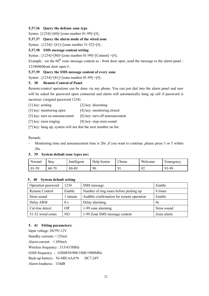# **5.37.36 Query the defense zone type**

Syntax :[1234]+[60]+[zone number 01-99]+[#]。

### **5.37.37 Query the alarm mode of the wired zone**

Syntax : [1234]+ [61]+[zone number 51-52]+[#]。

# **5.37.38 SMS message content setting**

Syntax : [1234]+[80]+[zone number 01-99]+[Content] +[#],

Example : set the  $60^{th}$  zone message content as : front door open , send the message to the alarm panel : 12348060front door open #。

# **5.37.39 Query the SMS message content of every zone**

Syntax : [1234]+[81]+[zone number 01-99] +[#]。

# **5.38 Remote Control of Panel**

Remote-control operations can be done via any phone. You can just dial into the alarm panel and user will be asked for password upon connected and alarm will automatically hang up call if password is incorrect. (original password 1234)

- [1] key: arming [2] key: disarming
- [3] key: monitoring open [4] key: monitoring closed
- [5] key: turn on announcement [6] key: turn off announcement
- [7] key: siren ringing [8] key: stop siren sound
- [\*] key: hang up, system will not dial the next number on list.

#### Remark:

- Monitoring time and announcement time is 20s , if you want to continue , please press 3 or 5 within 20s .

#### **5.39 System default zone types are:**

| $\mathbf{r}$<br>Normai | Stay         | Intelligent | Help Senior | <b>Chime</b> | Welcome              | Emergency |
|------------------------|--------------|-------------|-------------|--------------|----------------------|-----------|
| $01-59$                | .70<br>$60-$ | 80-89       | 90          | $\Omega$     | $\Omega^{\sim}$<br>╯ | 93-99     |

#### **5.40 System default setting**

| Operation password | 1234           | SMS message                               | Enable      |
|--------------------|----------------|-------------------------------------------|-------------|
| Remote Control     | Enable         | Number of ring tones before picking up    | 8 times     |
| Siren sound        | minute         | Audible confirmation for remote operation | Enable      |
| Delay ARM          | 0 <sub>s</sub> | Delay alarming                            | 0s          |
| Cut-line detect    | Off            | 1-99 zone alarming                        | Siren sound |
| 51-52 wired zones  | NO             | 1-99 Zone SMS message content             | Zone alarm  |

# **5.41 Fitting parameters:**

Input voltage: DC9V-12V Standby currents:<25mA Alarm current: <450mA Wireless frequency : 315/433MHz GSM frequency : GSM850/900/1800/1900MHz Back-up battery: Ni-MH AAA\*6 DC7.24V Alarm loudness:110dB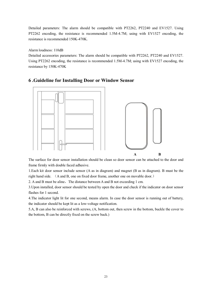Detailed parameters: The alarm should be compatible with PT2262, PT2240 and EV1527. Using PT2262 encoding, the resistance is recommended 1.5M-4.7M; using with EV1527 encoding, the resistance is recommended 150K-470K.

#### Alarm loudness: 110dB

Detailed accessories parameters: The alarm should be compatible with PT2262, PT2240 and EV1527. Using PT2262 encoding, the resistance is recommended 1.5M-4.7M; using with EV1527 encoding, the resistance by 150K-470K



# **6 .Guideline for Installing Door or Window Sensor**

The surface for door sensor installation should be clean so door sensor can be attached to the door and frame firmly with double faced adhesive.

1.Each kit door sensor include sensor (A as in diagram) and magnet (B as in diagram). B must be the right hand side. (A and B, one on fixed door frame, another one on movable door.)

2. A and B must be aline, The distance between A and B not exceeding 1 cm.

3.Upon installed, door sensor should be tested by open the door and check if the indicator on door sensor flashes for 1 second.

4.The indicator light lit for one second, means alarm. In case the door sensor is running out of battery, the indicator should be kept lit as a low-voltage notification.

5.A, B can also be reinforced with screws, (A, bottom out, then screw in the bottom, buckle the cover to the bottom, B can be directly fixed on the screw back.)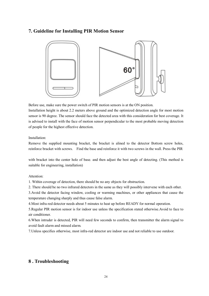# **7. Guideline for Installing PIR Motion Sensor**



Before use, make sure the power switch of PIR motion sensors is at the ON position.

Installation height is about 2.2 meters above ground and the optimized detection angle for most motion sensor is 90 degree. The sensor should face the detected area with this consideration for best coverage. It is advised to install with the face of motion sensor perpendicular to the most probable moving detection of people for the highest effective detection.

#### Installation:

Remove the supplied mounting bracket, the bracket is alined to the detector Bottom screw holes, reinforce bracket with screws. Find the base and reinforce it with two screws in the wall. Press the PIR

with bracket into the center hole of base. and then adjust the best angle of detecting. (This method is suitable for engineering, installation)

#### Attention:

1. Within coverage of detection, there should be no any objects for obstruction.

2. There should be no two infrared detectors in the same as they will possibly intervene with each other.

3.Avoid the detector facing window, cooling or warming machines, or other appliances that cause the temperature changing sharply and thus cause false alarm.

4.Most infra-red detector needs about 5 minutes to heat up before READY for normal operation.

5.Regular PIR motion sensor is for indoor use unless the specification stated otherwise.Avoid to face to air conditioner.

6.When intruder is detected, PIR will need few seconds to confirm, then transmitter the alarm signal to avoid fault alarm and missed alarm.

7.Unless specifies otherwise, most infra-red detector are indoor use and not reliable to use outdoor.

# **8 . Troubleshooting**